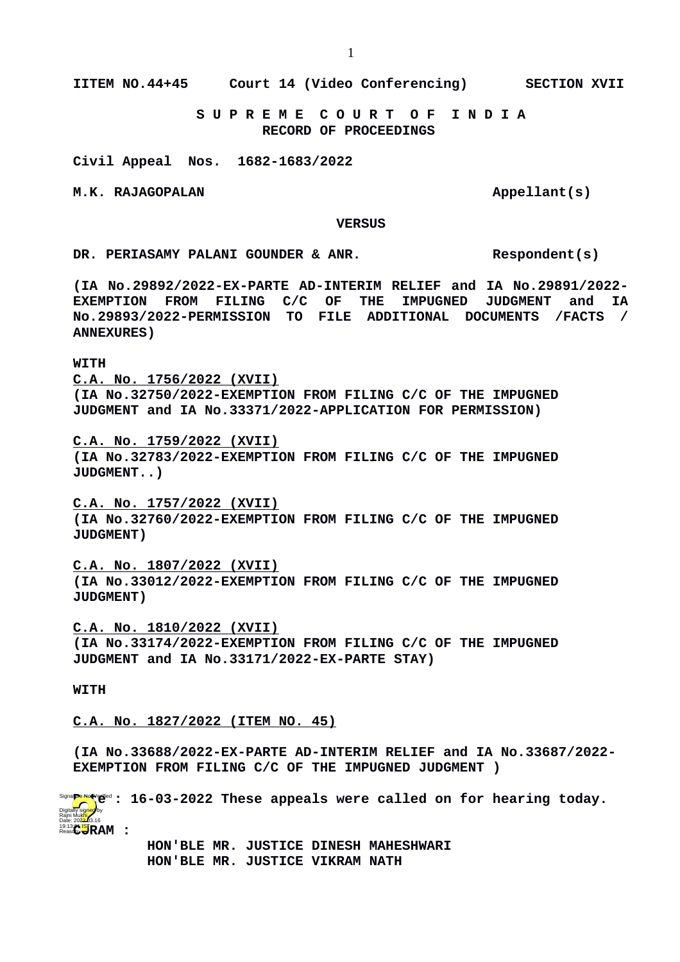**IITEM NO.44+45 Court 14 (Video Conferencing) SECTION XVII**

 **S U P R E M E C O U R T O F I N D I A RECORD OF PROCEEDINGS**

**Civil Appeal Nos. 1682-1683/2022**

M.K. RAJAGOPALAN **Appellant** (s)

 **VERSUS**

DR. PERIASAMY PALANI GOUNDER & ANR. Respondent(s)

**(IA No.29892/2022-EX-PARTE AD-INTERIM RELIEF and IA No.29891/2022- EXEMPTION FROM FILING C/C OF THE IMPUGNED JUDGMENT and IA No.29893/2022-PERMISSION TO FILE ADDITIONAL DOCUMENTS /FACTS / ANNEXURES)**

## **WITH**

**C.A. No. 1756/2022 (XVII) (IA No.32750/2022-EXEMPTION FROM FILING C/C OF THE IMPUGNED JUDGMENT and IA No.33371/2022-APPLICATION FOR PERMISSION)**

**C.A. No. 1759/2022 (XVII) (IA No.32783/2022-EXEMPTION FROM FILING C/C OF THE IMPUGNED JUDGMENT..)**

**C.A. No. 1757/2022 (XVII) (IA No.32760/2022-EXEMPTION FROM FILING C/C OF THE IMPUGNED JUDGMENT)**

**C.A. No. 1807/2022 (XVII) (IA No.33012/2022-EXEMPTION FROM FILING C/C OF THE IMPUGNED JUDGMENT)**

**C.A. No. 1810/2022 (XVII) (IA No.33174/2022-EXEMPTION FROM FILING C/C OF THE IMPUGNED JUDGMENT and IA No.33171/2022-EX-PARTE STAY)**

## **WITH**

**C.A. No. 1827/2022 (ITEM NO. 45)**

**(IA No.33688/2022-EX-PARTE AD-INTERIM RELIEF and IA No.33687/2022- EXEMPTION FROM FILING C/C OF THE IMPUGNED JUDGMENT )**

**Signa<mark>pe</mark>red(erd : 16-03-2022 These appeals were called on for hearing today.** 19:13:<mark>("IS</mark>TRAM : Digitally signed by<br>Rajni Mukhi<br>Date: 202<del>2.</del>03.16

 **HON'BLE MR. JUSTICE DINESH MAHESHWARI HON'BLE MR. JUSTICE VIKRAM NATH**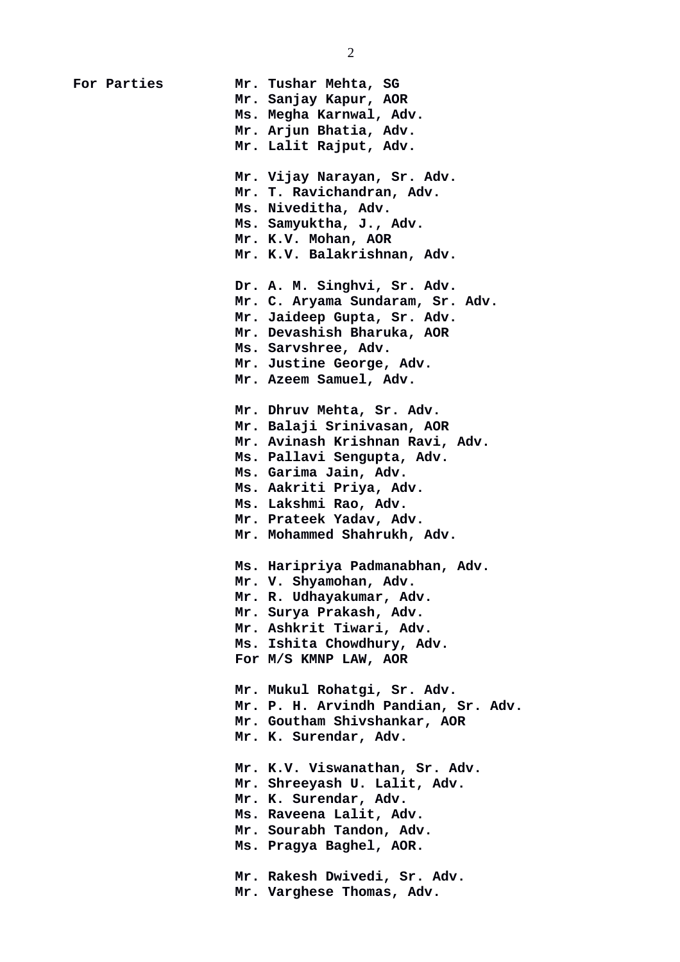**For Parties Mr. Tushar Mehta, SG Mr. Sanjay Kapur, AOR Ms. Megha Karnwal, Adv. Mr. Arjun Bhatia, Adv. Mr. Lalit Rajput, Adv. Mr. Vijay Narayan, Sr. Adv. Mr. T. Ravichandran, Adv. Ms. Niveditha, Adv. Ms. Samyuktha, J., Adv. Mr. K.V. Mohan, AOR Mr. K.V. Balakrishnan, Adv. Dr. A. M. Singhvi, Sr. Adv. Mr. C. Aryama Sundaram, Sr. Adv. Mr. Jaideep Gupta, Sr. Adv. Mr. Devashish Bharuka, AOR Ms. Sarvshree, Adv. Mr. Justine George, Adv. Mr. Azeem Samuel, Adv. Mr. Dhruv Mehta, Sr. Adv. Mr. Balaji Srinivasan, AOR Mr. Avinash Krishnan Ravi, Adv. Ms. Pallavi Sengupta, Adv. Ms. Garima Jain, Adv. Ms. Aakriti Priya, Adv. Ms. Lakshmi Rao, Adv. Mr. Prateek Yadav, Adv. Mr. Mohammed Shahrukh, Adv. Ms. Haripriya Padmanabhan, Adv. Mr. V. Shyamohan, Adv. Mr. R. Udhayakumar, Adv. Mr. Surya Prakash, Adv. Mr. Ashkrit Tiwari, Adv. Ms. Ishita Chowdhury, Adv. For M/S KMNP LAW, AOR Mr. Mukul Rohatgi, Sr. Adv. Mr. P. H. Arvindh Pandian, Sr. Adv. Mr. Goutham Shivshankar, AOR Mr. K. Surendar, Adv. Mr. K.V. Viswanathan, Sr. Adv. Mr. Shreeyash U. Lalit, Adv. Mr. K. Surendar, Adv. Ms. Raveena Lalit, Adv. Mr. Sourabh Tandon, Adv. Ms. Pragya Baghel, AOR. Mr. Rakesh Dwivedi, Sr. Adv. Mr. Varghese Thomas, Adv.**